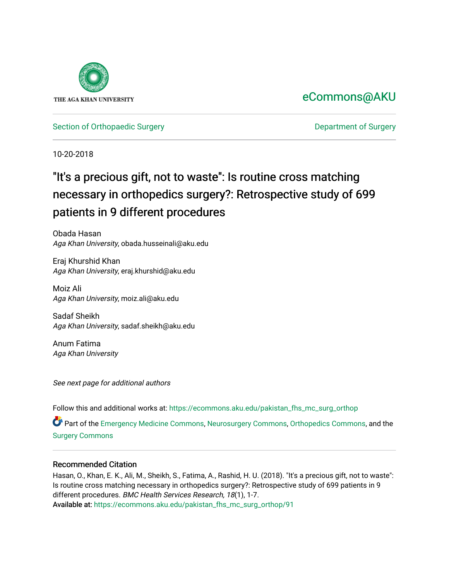

## [eCommons@AKU](https://ecommons.aku.edu/)

[Section of Orthopaedic Surgery](https://ecommons.aku.edu/pakistan_fhs_mc_surg_orthop) **Department of Surgery** Department of Surgery

10-20-2018

# "It's a precious gift, not to waste": Is routine cross matching necessary in orthopedics surgery?: Retrospective study of 699 patients in 9 different procedures

Obada Hasan Aga Khan University, obada.husseinali@aku.edu

Eraj Khurshid Khan Aga Khan University, eraj.khurshid@aku.edu

Moiz Ali Aga Khan University, moiz.ali@aku.edu

Sadaf Sheikh Aga Khan University, sadaf.sheikh@aku.edu

Anum Fatima Aga Khan University

See next page for additional authors

Follow this and additional works at: [https://ecommons.aku.edu/pakistan\\_fhs\\_mc\\_surg\\_orthop](https://ecommons.aku.edu/pakistan_fhs_mc_surg_orthop?utm_source=ecommons.aku.edu%2Fpakistan_fhs_mc_surg_orthop%2F91&utm_medium=PDF&utm_campaign=PDFCoverPages)

Part of the [Emergency Medicine Commons](http://network.bepress.com/hgg/discipline/685?utm_source=ecommons.aku.edu%2Fpakistan_fhs_mc_surg_orthop%2F91&utm_medium=PDF&utm_campaign=PDFCoverPages), [Neurosurgery Commons](http://network.bepress.com/hgg/discipline/1428?utm_source=ecommons.aku.edu%2Fpakistan_fhs_mc_surg_orthop%2F91&utm_medium=PDF&utm_campaign=PDFCoverPages), [Orthopedics Commons,](http://network.bepress.com/hgg/discipline/696?utm_source=ecommons.aku.edu%2Fpakistan_fhs_mc_surg_orthop%2F91&utm_medium=PDF&utm_campaign=PDFCoverPages) and the [Surgery Commons](http://network.bepress.com/hgg/discipline/706?utm_source=ecommons.aku.edu%2Fpakistan_fhs_mc_surg_orthop%2F91&utm_medium=PDF&utm_campaign=PDFCoverPages)

## Recommended Citation

Hasan, O., Khan, E. K., Ali, M., Sheikh, S., Fatima, A., Rashid, H. U. (2018). "It's a precious gift, not to waste": Is routine cross matching necessary in orthopedics surgery?: Retrospective study of 699 patients in 9 different procedures. BMC Health Services Research, 18(1), 1-7. Available at: [https://ecommons.aku.edu/pakistan\\_fhs\\_mc\\_surg\\_orthop/91](https://ecommons.aku.edu/pakistan_fhs_mc_surg_orthop/91)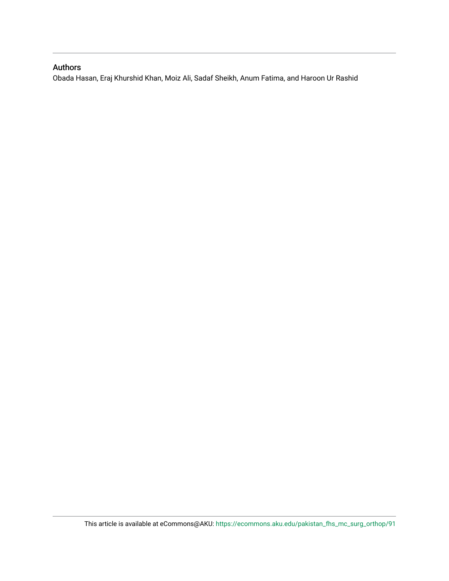## Authors

Obada Hasan, Eraj Khurshid Khan, Moiz Ali, Sadaf Sheikh, Anum Fatima, and Haroon Ur Rashid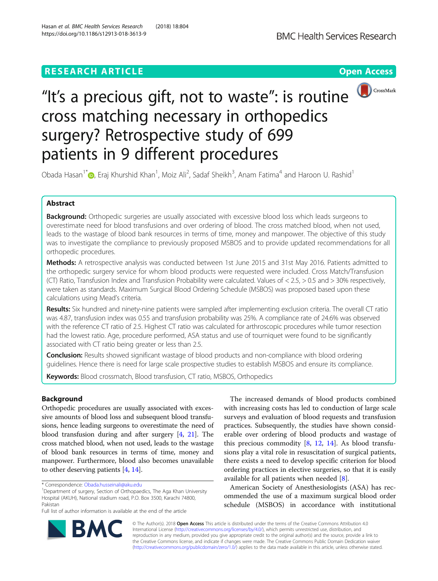## **RESEARCH ARTICLE Example 2014 12:30 The Contract of Contract ACCESS**



# "It's a precious gift, not to waste": is routine cross matching necessary in orthopedics surgery? Retrospective study of 699 patients in 9 different procedures

Obada Hasan<sup>1\*</sup>�, Eraj Khurshid Khan<sup>1</sup>, Moiz Ali<sup>2</sup>, Sadaf Sheikh<sup>3</sup>, Anam Fatima<sup>4</sup> and Haroon U. Rashid<sup>1</sup>

### Abstract

Background: Orthopedic surgeries are usually associated with excessive blood loss which leads surgeons to overestimate need for blood transfusions and over ordering of blood. The cross matched blood, when not used, leads to the wastage of blood bank resources in terms of time, money and manpower. The objective of this study was to investigate the compliance to previously proposed MSBOS and to provide updated recommendations for all orthopedic procedures.

Methods: A retrospective analysis was conducted between 1st June 2015 and 31st May 2016. Patients admitted to the orthopedic surgery service for whom blood products were requested were included. Cross Match/Transfusion (CT) Ratio, Transfusion Index and Transfusion Probability were calculated. Values of < 2.5, > 0.5 and > 30% respectively, were taken as standards. Maximum Surgical Blood Ordering Schedule (MSBOS) was proposed based upon these calculations using Mead's criteria.

Results: Six hundred and ninety-nine patients were sampled after implementing exclusion criteria. The overall CT ratio was 4.87, transfusion index was 0.55 and transfusion probability was 25%. A compliance rate of 24.6% was observed with the reference CT ratio of 2.5. Highest CT ratio was calculated for arthroscopic procedures while tumor resection had the lowest ratio. Age, procedure performed, ASA status and use of tourniquet were found to be significantly associated with CT ratio being greater or less than 2.5.

**Conclusion:** Results showed significant wastage of blood products and non-compliance with blood ordering guidelines. Hence there is need for large scale prospective studies to establish MSBOS and ensure its compliance.

Keywords: Blood crossmatch, Blood transfusion, CT ratio, MSBOS, Orthopedics

## Background

Orthopedic procedures are usually associated with excessive amounts of blood loss and subsequent blood transfusions, hence leading surgeons to overestimate the need of blood transfusion during and after surgery [[4](#page-7-0), [21\]](#page-8-0). The cross matched blood, when not used, leads to the wastage of blood bank resources in terms of time, money and manpower. Furthermore, blood also becomes unavailable to other deserving patients [\[4](#page-7-0), [14\]](#page-8-0).

The increased demands of blood products combined with increasing costs has led to conduction of large scale surveys and evaluation of blood requests and transfusion practices. Subsequently, the studies have shown considerable over ordering of blood products and wastage of this precious commodity  $[8, 12, 14]$  $[8, 12, 14]$  $[8, 12, 14]$  $[8, 12, 14]$  $[8, 12, 14]$  $[8, 12, 14]$  $[8, 12, 14]$ . As blood transfusions play a vital role in resuscitation of surgical patients, there exists a need to develop specific criterion for blood ordering practices in elective surgeries, so that it is easily available for all patients when needed [[8\]](#page-7-0).

American Society of Anesthesiologists (ASA) has recommended the use of a maximum surgical blood order schedule (MSBOS) in accordance with institutional



© The Author(s). 2018 Open Access This article is distributed under the terms of the Creative Commons Attribution 4.0 International License [\(http://creativecommons.org/licenses/by/4.0/](http://creativecommons.org/licenses/by/4.0/)), which permits unrestricted use, distribution, and reproduction in any medium, provided you give appropriate credit to the original author(s) and the source, provide a link to the Creative Commons license, and indicate if changes were made. The Creative Commons Public Domain Dedication waiver [\(http://creativecommons.org/publicdomain/zero/1.0/](http://creativecommons.org/publicdomain/zero/1.0/)) applies to the data made available in this article, unless otherwise stated.

<sup>\*</sup> Correspondence: [Obada.husseinali@aku.edu](mailto:Obada.husseinali@aku.edu) <sup>1</sup>

<sup>&</sup>lt;sup>1</sup>Department of surgery, Section of Orthopaedics, The Aga Khan University Hospital (AKUH), National stadium road, P.O. Box 3500, Karachi 74800, Pakistan

Full list of author information is available at the end of the article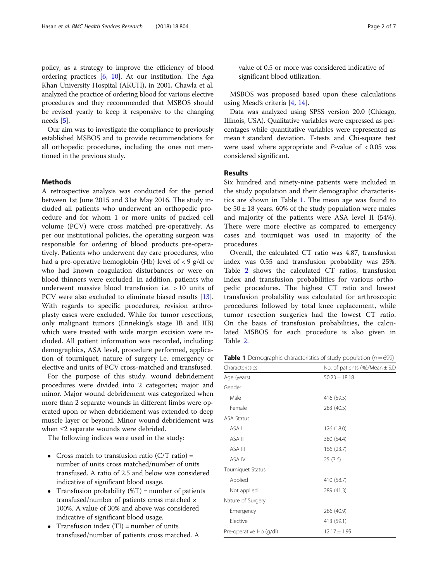policy, as a strategy to improve the efficiency of blood ordering practices  $[6, 10]$  $[6, 10]$  $[6, 10]$ . At our institution. The Aga Khan University Hospital (AKUH), in 2001, Chawla et al. analyzed the practice of ordering blood for various elective procedures and they recommended that MSBOS should be revised yearly to keep it responsive to the changing needs [\[5\]](#page-7-0).

Our aim was to investigate the compliance to previously established MSBOS and to provide recommendations for all orthopedic procedures, including the ones not mentioned in the previous study.

#### Methods

A retrospective analysis was conducted for the period between 1st June 2015 and 31st May 2016. The study included all patients who underwent an orthopedic procedure and for whom 1 or more units of packed cell volume (PCV) were cross matched pre-operatively. As per our institutional policies, the operating surgeon was responsible for ordering of blood products pre-operatively. Patients who underwent day care procedures, who had a pre-operative hemoglobin (Hb) level of < 9 g/dl or who had known coagulation disturbances or were on blood thinners were excluded. In addition, patients who underwent massive blood transfusion i.e. > 10 units of PCV were also excluded to eliminate biased results [\[13](#page-7-0)]. With regards to specific procedures, revision arthroplasty cases were excluded. While for tumor resections, only malignant tumors (Enneking's stage IB and IIB) which were treated with wide margin excision were included. All patient information was recorded, including: demographics, ASA level, procedure performed, application of tourniquet, nature of surgery i.e. emergency or elective and units of PCV cross-matched and transfused.

For the purpose of this study, wound debridement procedures were divided into 2 categories; major and minor. Major wound debridement was categorized when more than 2 separate wounds in different limbs were operated upon or when debridement was extended to deep muscle layer or beyond. Minor wound debridement was when ≤2 separate wounds were debrided.

The following indices were used in the study:

- Cross match to transfusion ratio  $(C/T \text{ ratio}) =$ number of units cross matched/number of units transfused. A ratio of 2.5 and below was considered indicative of significant blood usage.
- Transfusion probability  $(\%T)$  = number of patients transfused/number of patients cross matched × 100%. A value of 30% and above was considered indicative of significant blood usage.
- Transfusion index (TI) = number of units transfused/number of patients cross matched. A

value of 0.5 or more was considered indicative of significant blood utilization.

MSBOS was proposed based upon these calculations using Mead's criteria [[4](#page-7-0), [14](#page-8-0)].

Data was analyzed using SPSS version 20.0 (Chicago, Illinois, USA). Qualitative variables were expressed as percentages while quantitative variables were represented as mean ± standard deviation. T-tests and Chi-square test were used where appropriate and  $P$ -value of  $< 0.05$  was considered significant.

#### Results

Six hundred and ninety-nine patients were included in the study population and their demographic characteristics are shown in Table 1. The mean age was found to be  $50 \pm 18$  years. 60% of the study population were males and majority of the patients were ASA level II (54%). There were more elective as compared to emergency cases and tourniquet was used in majority of the procedures.

Overall, the calculated CT ratio was 4.87, transfusion index was 0.55 and transfusion probability was 25%. Table [2](#page-4-0) shows the calculated CT ratios, transfusion index and transfusion probabilities for various orthopedic procedures. The highest CT ratio and lowest transfusion probability was calculated for arthroscopic procedures followed by total knee replacement, while tumor resection surgeries had the lowest CT ratio. On the basis of transfusion probabilities, the calculated MSBOS for each procedure is also given in Table [2](#page-4-0).

**Table 1** Demographic characteristics of study population ( $n = 699$ )

| Characteristics         | No. of patients $\frac{1}{2}$ /Mean $\pm$ S.D |
|-------------------------|-----------------------------------------------|
| Age (years)             | $50.23 \pm 18.18$                             |
| Gender                  |                                               |
| Male                    | 416 (59.5)                                    |
| Female                  | 283 (40.5)                                    |
| <b>ASA Status</b>       |                                               |
| ASA I                   | 126 (18.0)                                    |
| ASA II                  | 380 (54.4)                                    |
| ASA III                 | 166 (23.7)                                    |
| ASA IV                  | 25(3.6)                                       |
| Tourniquet Status       |                                               |
| Applied                 | 410 (58.7)                                    |
| Not applied             | 289 (41.3)                                    |
| Nature of Surgery       |                                               |
| Emergency               | 286 (40.9)                                    |
| Elective                | 413 (59.1)                                    |
| Pre-operative Hb (g/dl) | $12.17 \pm 1.95$                              |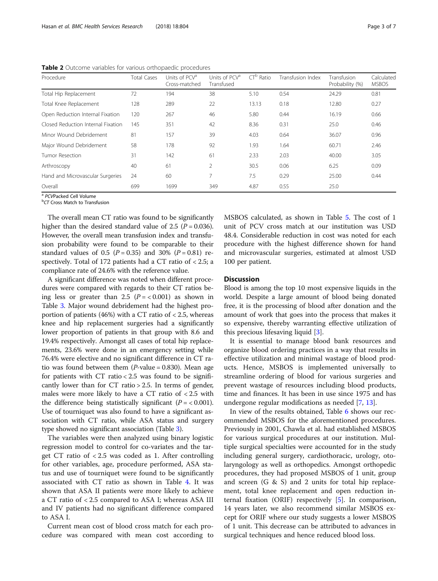| Procedure                          | <b>Total Cases</b> | Units of PCV <sup>a</sup><br>Cross-matched | Units of PCV <sup>a</sup><br>Transfused | $CT^b$ Ratio | Transfusion Index | Transfusion<br>Probability (%) | Calculated<br><b>MSBOS</b> |
|------------------------------------|--------------------|--------------------------------------------|-----------------------------------------|--------------|-------------------|--------------------------------|----------------------------|
| Total Hip Replacement              | 72                 | 194                                        | 38                                      | 5.10         | 0.54              | 24.29                          | 0.81                       |
| Total Knee Replacement             | 128                | 289                                        | 22                                      | 13.13        | 0.18              | 12.80                          | 0.27                       |
| Open Reduction Internal Fixation   | 120                | 267                                        | 46                                      | 5.80         | 0.44              | 16.19                          | 0.66                       |
| Closed Reduction Internal Fixation | 145                | 351                                        | 42                                      | 8.36         | 0.31              | 25.0                           | 0.46                       |
| Minor Wound Debridement            | 81                 | 157                                        | 39                                      | 4.03         | 0.64              | 36.07                          | 0.96                       |
| Major Wound Debridement            | 58                 | 178                                        | 92                                      | 1.93         | 1.64              | 60.71                          | 2.46                       |
| <b>Tumor Resection</b>             | 31                 | 142                                        | 61                                      | 2.33         | 2.03              | 40.00                          | 3.05                       |
| Arthroscopy                        | 40                 | 61                                         | 2                                       | 30.5         | 0.06              | 6.25                           | 0.09                       |
| Hand and Microvascular Surgeries   | 24                 | 60                                         | 7                                       | 7.5          | 0.29              | 25.00                          | 0.44                       |
| Overall                            | 699                | 1699                                       | 349                                     | 4.87         | 0.55              | 25.0                           |                            |
|                                    |                    |                                            |                                         |              |                   |                                |                            |

<span id="page-4-0"></span>Table 2 Outcome variables for various orthopaedic procedures

<sup>a</sup> PCVPacked Cell Volume

<sup>b</sup>CT Cross Match to Transfusion

The overall mean CT ratio was found to be significantly higher than the desired standard value of 2.5 ( $P = 0.036$ ). However, the overall mean transfusion index and transfusion probability were found to be comparable to their standard values of 0.5 ( $P = 0.35$ ) and 30% ( $P = 0.81$ ) respectively. Total of 172 patients had a CT ratio of < 2.5; a compliance rate of 24.6% with the reference value.

A significant difference was noted when different procedures were compared with regards to their CT ratios being less or greater than 2.5  $(P = < 0.001)$  as shown in Table [3.](#page-5-0) Major wound debridement had the highest proportion of patients (46%) with a CT ratio of < 2.5, whereas knee and hip replacement surgeries had a significantly lower proportion of patients in that group with 8.6 and 19.4% respectively. Amongst all cases of total hip replacements, 23.6% were done in an emergency setting while 76.4% were elective and no significant difference in CT ratio was found between them  $(P$ -value = 0.830). Mean age for patients with CT ratio < 2.5 was found to be significantly lower than for CT ratio > 2.5. In terms of gender, males were more likely to have a CT ratio of < 2.5 with the difference being statistically significant  $(P = < 0.001)$ . Use of tourniquet was also found to have a significant association with CT ratio, while ASA status and surgery type showed no significant association (Table [3](#page-5-0)).

The variables were then analyzed using binary logistic regression model to control for co-variates and the target CT ratio of < 2.5 was coded as 1. After controlling for other variables, age, procedure performed, ASA status and use of tourniquet were found to be significantly associated with CT ratio as shown in Table [4](#page-5-0). It was shown that ASA II patients were more likely to achieve a CT ratio of < 2.5 compared to ASA I; whereas ASA III and IV patients had no significant difference compared to ASA I.

Current mean cost of blood cross match for each procedure was compared with mean cost according to MSBOS calculated, as shown in Table [5.](#page-6-0) The cost of 1 unit of PCV cross match at our institution was USD 48.4. Considerable reduction in cost was noted for each procedure with the highest difference shown for hand and microvascular surgeries, estimated at almost USD 100 per patient.

#### **Discussion**

Blood is among the top 10 most expensive liquids in the world. Despite a large amount of blood being donated free, it is the processing of blood after donation and the amount of work that goes into the process that makes it so expensive, thereby warranting effective utilization of this precious lifesaving liquid [\[3](#page-7-0)].

It is essential to manage blood bank resources and organize blood ordering practices in a way that results in effective utilization and minimal wastage of blood products. Hence, MSBOS is implemented universally to streamline ordering of blood for various surgeries and prevent wastage of resources including blood products, time and finances. It has been in use since 1975 and has undergone regular modifications as needed [[7,](#page-7-0) [13](#page-7-0)].

In view of the results obtained, Table [6](#page-6-0) shows our recommended MSBOS for the aforementioned procedures. Previously in 2001, Chawla et al. had established MSBOS for various surgical procedures at our institution. Multiple surgical specialties were accounted for in the study including general surgery, cardiothoracic, urology, otolaryngology as well as orthopedics. Amongst orthopedic procedures, they had proposed MSBOS of 1 unit, group and screen (G & S) and 2 units for total hip replacement, total knee replacement and open reduction internal fixation (ORIF) respectively [\[5](#page-7-0)]. In comparison, 14 years later, we also recommend similar MSBOS except for ORIF where our study suggests a lower MSBOS of 1 unit. This decrease can be attributed to advances in surgical techniques and hence reduced blood loss.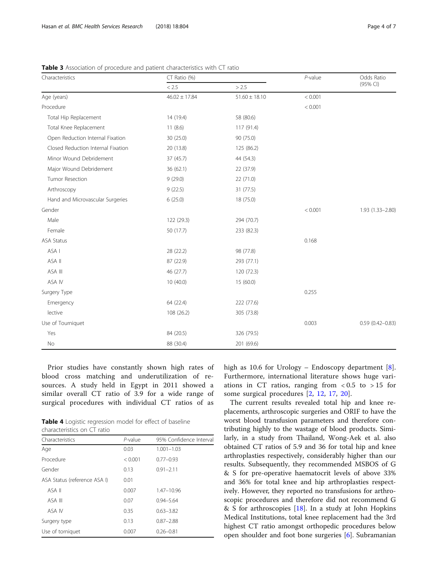| Characteristics                    | CT Ratio (%)      |                   | $P$ -value | Odds Ratio<br>(95% CI) |
|------------------------------------|-------------------|-------------------|------------|------------------------|
|                                    | < 2.5             | > 2.5             |            |                        |
| Age (years)                        | $46.02 \pm 17.84$ | $51.60 \pm 18.10$ | < 0.001    |                        |
| Procedure                          |                   |                   | < 0.001    |                        |
| Total Hip Replacement              | 14 (19.4)         | 58 (80.6)         |            |                        |
| Total Knee Replacement             | 11(8.6)           | 117 (91.4)        |            |                        |
| Open Reduction Internal Fixation   | 30 (25.0)         | 90 (75.0)         |            |                        |
| Closed Reduction Internal Fixation | 20 (13.8)         | 125 (86.2)        |            |                        |
| Minor Wound Debridement            | 37(45.7)          | 44 (54.3)         |            |                        |
| Major Wound Debridement            | 36(62.1)          | 22 (37.9)         |            |                        |
| <b>Tumor Resection</b>             | 9(29.0)           | 22 (71.0)         |            |                        |
| Arthroscopy                        | 9(22.5)           | 31(77.5)          |            |                        |
| Hand and Microvascular Surgeries   | 6(25.0)           | 18 (75.0)         |            |                        |
| Gender                             |                   |                   | < 0.001    | $1.93(1.33 - 2.80)$    |
| Male                               | 122 (29.3)        | 294 (70.7)        |            |                        |
| Female                             | 50 (17.7)         | 233 (82.3)        |            |                        |
| <b>ASA Status</b>                  |                   |                   | 0.168      |                        |
| ASA I                              | 28 (22.2)         | 98 (77.8)         |            |                        |
| ASA II                             | 87 (22.9)         | 293 (77.1)        |            |                        |
| ASA III                            | 46 (27.7)         | 120 (72.3)        |            |                        |
| ASA IV                             | 10(40.0)          | 15 (60.0)         |            |                        |
| Surgery Type                       |                   |                   | 0.255      |                        |
| Emergency                          | 64 (22.4)         | 222 (77.6)        |            |                        |
| lective                            | 108 (26.2)        | 305 (73.8)        |            |                        |
| Use of Tourniquet                  |                   |                   | 0.003      | $0.59(0.42 - 0.83)$    |
| Yes                                | 84 (20.5)         | 326 (79.5)        |            |                        |
| No                                 | 88 (30.4)         | 201 (69.6)        |            |                        |

<span id="page-5-0"></span>Table 3 Association of procedure and patient characteristics with CT ratio

Prior studies have constantly shown high rates of blood cross matching and underutilization of resources. A study held in Egypt in 2011 showed a similar overall CT ratio of 3.9 for a wide range of surgical procedures with individual CT ratios of as

Table 4 Logistic regression model for effect of baseline characteristics on CT ratio

| Characteristics              | P-value | 95% Confidence Interval |
|------------------------------|---------|-------------------------|
| Age                          | 0.03    | $1.001 - 1.03$          |
| Procedure                    | < 0.001 | $0.77 - 0.93$           |
| Gender                       | 0.13    | $0.91 - 2.11$           |
| ASA Status (reference ASA I) | 0.01    |                         |
| ASA II                       | 0.007   | 1.47-10.96              |
| ASA III                      | 0.07    | $0.94 - 5.64$           |
| ASA IV                       | 0.35    | $0.63 - 3.82$           |
| Surgery type                 | 0.13    | $0.87 - 2.88$           |
| Use of torniquet             | 0.007   | $0.26 - 0.81$           |

high as 10.6 for Urology – Endoscopy department  $[8]$  $[8]$ . Furthermore, international literature shows huge variations in CT ratios, ranging from  $< 0.5$  to  $> 15$  for some surgical procedures [[2,](#page-7-0) [12,](#page-7-0) [17](#page-8-0), [20](#page-8-0)].

The current results revealed total hip and knee replacements, arthroscopic surgeries and ORIF to have the worst blood transfusion parameters and therefore contributing highly to the wastage of blood products. Similarly, in a study from Thailand, Wong-Aek et al. also obtained CT ratios of 5.9 and 36 for total hip and knee arthroplasties respectively, considerably higher than our results. Subsequently, they recommended MSBOS of G & S for pre-operative haematocrit levels of above 33% and 36% for total knee and hip arthroplasties respectively. However, they reported no transfusions for arthroscopic procedures and therefore did not recommend G & S for arthroscopies [[18\]](#page-8-0). In a study at John Hopkins Medical Institutions, total knee replacement had the 3rd highest CT ratio amongst orthopedic procedures below open shoulder and foot bone surgeries [\[6\]](#page-7-0). Subramanian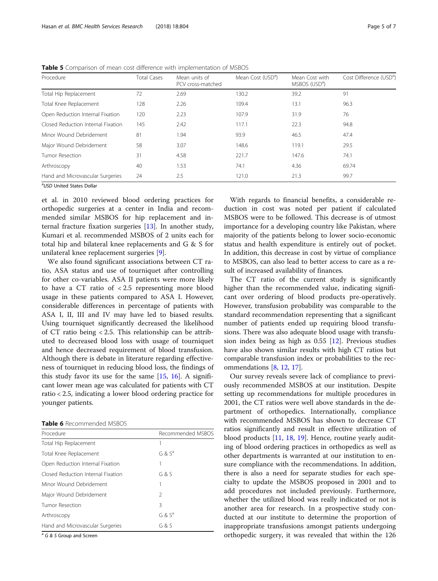| Procedure                          | <b>Total Cases</b> | Mean units of<br>PCV cross-matched | Mean Cost (USD <sup>a</sup> ) | Mean Cost with<br>MSBOS (USD <sup>a</sup> ) | Cost Difference (USD <sup>a</sup> ) |
|------------------------------------|--------------------|------------------------------------|-------------------------------|---------------------------------------------|-------------------------------------|
| Total Hip Replacement              | 72                 | 2.69                               | 130.2                         | 39.2                                        | 91                                  |
| Total Knee Replacement             | 128                | 2.26                               | 109.4                         | 13.1                                        | 96.3                                |
| Open Reduction Internal Fixation   | 120                | 2.23                               | 107.9                         | 31.9                                        | 76                                  |
| Closed Reduction Internal Fixation | 145                | 2.42                               | 117.1                         | 22.3                                        | 94.8                                |
| Minor Wound Debridement            | 81                 | 1.94                               | 93.9                          | 46.5                                        | 47.4                                |
| Major Wound Debridement            | 58                 | 3.07                               | 148.6                         | 119.1                                       | 29.5                                |
| <b>Tumor Resection</b>             | 31                 | 4.58                               | 221.7                         | 147.6                                       | 74.1                                |
| Arthroscopy                        | 40                 | 1.53                               | 74.1                          | 4.36                                        | 69.74                               |
| Hand and Microvascular Surgeries   | 24                 | 2.5                                | 121.0                         | 21.3                                        | 99.7                                |

<span id="page-6-0"></span>Table 5 Comparison of mean cost difference with implementation of MSBOS

a USD United States Dollar

et al. in 2010 reviewed blood ordering practices for orthopedic surgeries at a center in India and recommended similar MSBOS for hip replacement and internal fracture fixation surgeries [[13\]](#page-7-0). In another study, Kumari et al. recommended MSBOS of 2 units each for total hip and bilateral knee replacements and G & S for unilateral knee replacement surgeries [[9\]](#page-7-0).

We also found significant associations between CT ratio, ASA status and use of tourniquet after controlling for other co-variables. ASA II patients were more likely to have a CT ratio of < 2.5 representing more blood usage in these patients compared to ASA I. However, considerable differences in percentage of patients with ASA I, II, III and IV may have led to biased results. Using tourniquet significantly decreased the likelihood of CT ratio being < 2.5. This relationship can be attributed to decreased blood loss with usage of tourniquet and hence decreased requirement of blood transfusion. Although there is debate in literature regarding effectiveness of tourniquet in reducing blood loss, the findings of this study favor its use for the same [[15](#page-8-0), [16](#page-8-0)]. A significant lower mean age was calculated for patients with CT ratio < 2.5, indicating a lower blood ordering practice for younger patients.

|  | Table 6 Recommended MSBOS |  |
|--|---------------------------|--|
|--|---------------------------|--|

| Procedure                          | Recommended MSBOS  |
|------------------------------------|--------------------|
| Total Hip Replacement              |                    |
| Total Knee Replacement             | G & S <sup>a</sup> |
| Open Reduction Internal Fixation   |                    |
| Closed Reduction Internal Fixation | G & S              |
| Minor Wound Debridement            |                    |
| Major Wound Debridement            | $\mathcal{L}$      |
| <b>Tumor Resection</b>             | 3                  |
| Arthroscopy                        | G & S <sup>a</sup> |
| Hand and Microvascular Surgeries   | G & S              |

<sup>a</sup> G & S Group and Screen

With regards to financial benefits, a considerable reduction in cost was noted per patient if calculated MSBOS were to be followed. This decrease is of utmost importance for a developing country like Pakistan, where majority of the patients belong to lower socio-economic status and health expenditure is entirely out of pocket. In addition, this decrease in cost by virtue of compliance to MSBOS, can also lead to better access to care as a result of increased availability of finances.

The CT ratio of the current study is significantly higher than the recommended value, indicating significant over ordering of blood products pre-operatively. However, transfusion probability was comparable to the standard recommendation representing that a significant number of patients ended up requiring blood transfusions. There was also adequate blood usage with transfusion index being as high as 0.55 [\[12](#page-7-0)]. Previous studies have also shown similar results with high CT ratios but comparable transfusion index or probabilities to the recommendations [[8,](#page-7-0) [12,](#page-7-0) [17](#page-8-0)].

Our survey reveals severe lack of compliance to previously recommended MSBOS at our institution. Despite setting up recommendations for multiple procedures in 2001, the CT ratios were well above standards in the department of orthopedics. Internationally, compliance with recommended MSBOS has shown to decrease CT ratios significantly and result in effective utilization of blood products [[11](#page-7-0), [18,](#page-8-0) [19](#page-8-0)]. Hence, routine yearly auditing of blood ordering practices in orthopedics as well as other departments is warranted at our institution to ensure compliance with the recommendations. In addition, there is also a need for separate studies for each specialty to update the MSBOS proposed in 2001 and to add procedures not included previously. Furthermore, whether the utilized blood was really indicated or not is another area for research. In a prospective study conducted at our institute to determine the proportion of inappropriate transfusions amongst patients undergoing orthopedic surgery, it was revealed that within the 126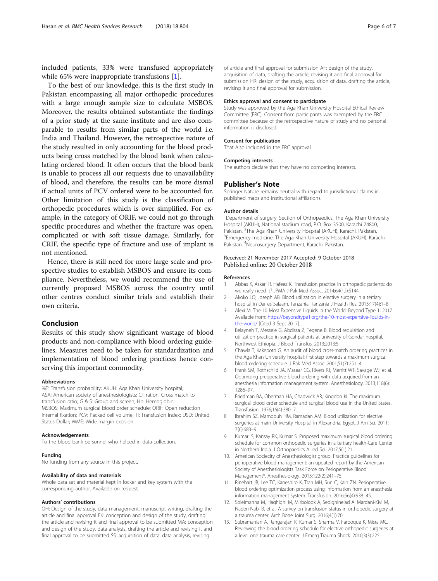<span id="page-7-0"></span>included patients, 33% were transfused appropriately while 65% were inappropriate transfusions [1].

To the best of our knowledge, this is the first study in Pakistan encompassing all major orthopedic procedures with a large enough sample size to calculate MSBOS. Moreover, the results obtained substantiate the findings of a prior study at the same institute and are also comparable to results from similar parts of the world i.e. India and Thailand. However, the retrospective nature of the study resulted in only accounting for the blood products being cross matched by the blood bank when calculating ordered blood. It often occurs that the blood bank is unable to process all our requests due to unavailability of blood, and therefore, the results can be more dismal if actual units of PCV ordered were to be accounted for. Other limitation of this study is the classification of orthopedic procedures which is over simplified. For example, in the category of ORIF, we could not go through specific procedures and whether the fracture was open, complicated or with soft tissue damage. Similarly, for CRIF, the specific type of fracture and use of implant is not mentioned.

Hence, there is still need for more large scale and prospective studies to establish MSBOS and ensure its compliance. Nevertheless, we would recommend the use of currently proposed MSBOS across the country until other centres conduct similar trials and establish their own criteria.

#### Conclusion

Results of this study show significant wastage of blood products and non-compliance with blood ordering guidelines. Measures need to be taken for standardization and implementation of blood ordering practices hence conserving this important commodity.

#### Abbreviations

%T: Transfusion probability; AKUH: Aga Khan University hospital; ASA: American society of anesthesiologists; CT ration: Cross match to transfusion ratio; G & S: Group and screen; Hb: Hemoglobin; MSBOS: Maximum surgical blood order schedule; ORIF: Open reduction internal fixation; PCV: Packed cell volume; TI: Transfusion index; USD: United States Dollar; WME: Wide margin excision

#### Acknowledgements

To the blood bank personnel who helped in data collection.

#### Funding

No funding from any source in this project.

#### Availability of data and materials

Whole data set and material kept in locker and key system with the corresponding author. Available on request.

#### Authors' contributions

OH: Design of the study, data management, manuscript writing, drafting the article and final approval EK: conception and design of the study, drafting the article and revising it and final approval to be submitted MA: conception and design of the study, data analysis, drafting the article and revising it and final approval to be submitted SS: acquisition of data, data analysis, revising

of article and final approval for submission AF: design of the study, acquisition of data, drafting the article, revising it and final approval for submission HR: design of the study, acquisition of data, drafting the article, revising it and final approval for submission.

#### Ethics approval and consent to participate

Study was approved by the Aga Khan University Hospital Ethical Review Committee (ERC). Consent from participants was exempted by the ERC committee because of the retrospective nature of study and no personal information is disclosed.

#### Consent for publication

That Also included in the ERC approval.

#### Competing interests

The authors declare that they have no competing interests.

#### Publisher's Note

Springer Nature remains neutral with regard to jurisdictional claims in published maps and institutional affiliations.

#### Author details

<sup>1</sup>Department of surgery, Section of Orthopaedics, The Aga Khan University Hospital (AKUH), National stadium road, P.O. Box 3500, Karachi 74800, Pakistan. <sup>2</sup>The Aga Khan University Hospital (AKUH), Karachi, Pakistan.<br><sup>3</sup>Emergancy medicine. The Aga Khan University Hospital (AKUH). Kar <sup>3</sup> Emergency medicine, The Aga Khan University Hospital (AKUH), Karachi, Pakistan. <sup>4</sup> Neurosurgery Department, Karachi, Pakistan.

#### Received: 21 November 2017 Accepted: 9 October 2018 Published online: 20 October 2018

#### References

- 1. Abbas K, Askari R, Hafeez K. Transfusion practice in orthopedic patients: do we really need it? JPMA J Pak Med Assoc. 2014;64(12):S144.
- 2. Akoko LO, Joseph AB. Blood utilization in elective surgery in a tertiary hospital in Dar es Salaam, Tanzania. Tanzania J Health Res. 2015;17(4):1–8.
- 3. Alexi M. The 10 Most Expensive Liquids in the World: Beyond Type 1; 2017 Available from: [https://beyondtype1.org/the-10-most-expensive-liquids-in](https://beyondtype1.org/the-10-most-expensive-liquids-in-the-world/)[the-world/](https://beyondtype1.org/the-10-most-expensive-liquids-in-the-world/) [Cited 3 Sept 2017].
- 4. Belayneh T, Messele G, Abdissa Z, Tegene B. Blood requisition and utilization practice in surgical patients at university of Gondar hospital, Northwest Ethiopia. J Blood Transfus. 2013;2013:5.
- 5. Chawla T, Kakepoto G. An audit of blood cross-match ordering practices in the Aga Khan University hospital: first step towards a maximum surgical blood ordering schedule. J Pak Med Assoc. 2001;51(7):251–4.
- 6. Frank SM, Rothschild JA, Masear CG, Rivers RJ, Merritt WT, Savage WJ, et al. Optimizing preoperative blood ordering with data acquired from an anesthesia information management system. Anesthesiology. 2013;118(6): 1286–97.
- 7. Friedman BA, Oberman HA, Chadwick AR, Kingdon KI. The maximum surgical blood order schedule and surgical blood use in the United States. Transfusion. 1976;16(4):380–7.
- Ibrahim SZ, Mamdouh HM, Ramadan AM. Blood utilization for elective surgeries at main University Hospital in Alexandria, Egypt. J Am Sci. 2011; 7(6):683–9.
- 9. Kumari S, Kansay RK, Kumar S. Proposed maximum surgical blood ordering schedule for common orthopedic surgeries in a tertiary health-Care Center in Northern India. J Orthopaedics Allied Sci. 2017;5(1):21.
- 10. American Sociecity of Anesthesiologist group. Practice guidelines for perioperative blood management: an updated report by the American Society of Anesthesiologists Task Force on Perioperative Blood Management\*. Anesthesiology. 2015;122(2):241–75.
- 11. Rinehart JB, Lee TC, Kaneshiro K, Tran MH, Sun C, Kain ZN. Perioperative blood ordering optimization process using information from an anesthesia information management system. Transfusion. 2016;56(4):938–45.
- 12. Soleimanha M, Haghighi M, Mirbolook A, Sedighinejad A, Mardani-Kivi M, Naderi-Nabi B, et al. A survey on transfusion status in orthopedic surgery at a trauma center. Arch Bone Joint Surg. 2016;4(1):70.
- 13. Subramanian A, Rangarajan K, Kumar S, Sharma V, Farooque K, Misra MC. Reviewing the blood ordering schedule for elective orthopedic surgeries at a level one trauma care center. J Emerg Trauma Shock. 2010;3(3):225.